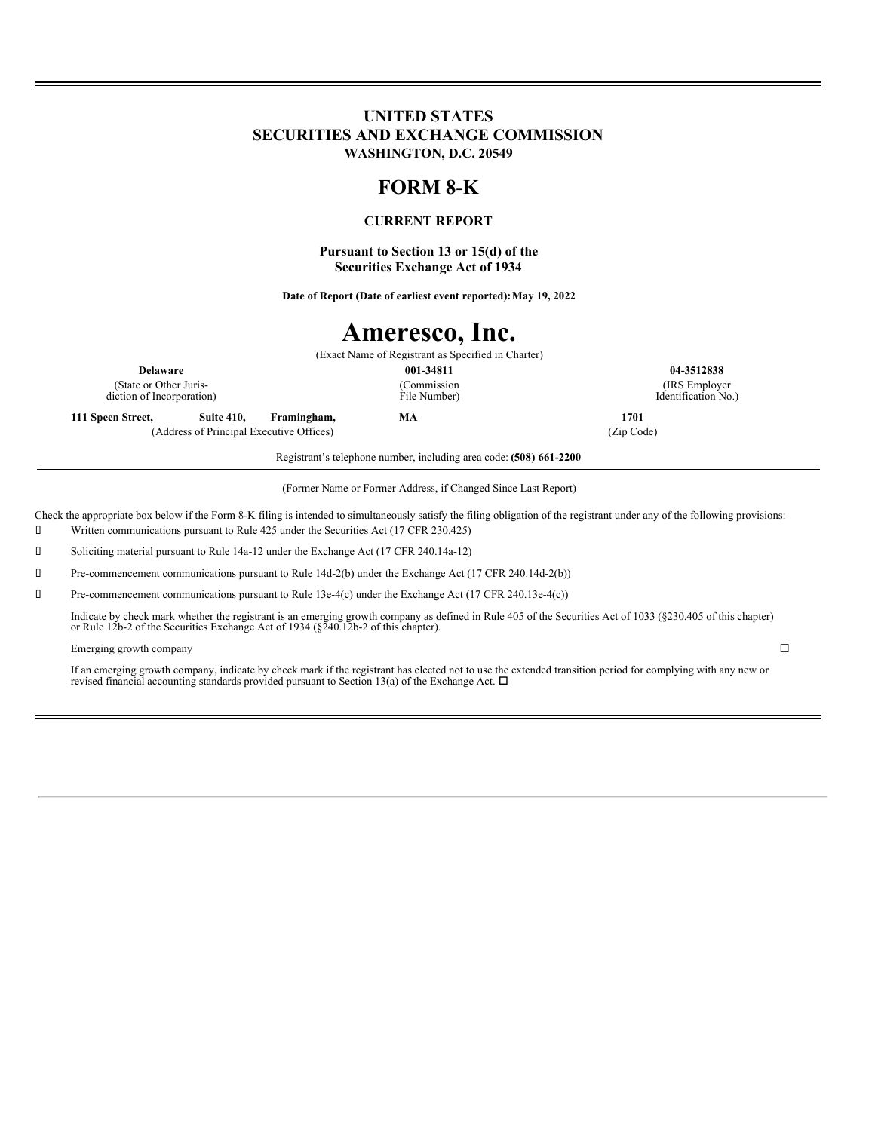## **UNITED STATES SECURITIES AND EXCHANGE COMMISSION WASHINGTON, D.C. 20549**

## **FORM 8-K**

### **CURRENT REPORT**

**Pursuant to Section 13 or 15(d) of the Securities Exchange Act of 1934**

**Date of Report (Date of earliest event reported):May 19, 2022**

# **Ameresco, Inc.**

(Exact Name of Registrant as Specified in Charter) **Delaware 001-34811 04-3512838** (Commission File Number)

(State or Other Jurisdiction of Incorporation)

**111 Speen Street, Suite 410, Framingham, MA 1701** (Address of Principal Executive Offices) (Zip Code)

(IRS Employer Identification No.)

Registrant's telephone number, including area code: **(508) 661-2200**

(Former Name or Former Address, if Changed Since Last Report)

Check the appropriate box below if the Form 8-K filing is intended to simultaneously satisfy the filing obligation of the registrant under any of the following provisions:

Written communications pursuant to Rule 425 under the Securities Act (17 CFR 230.425)

Soliciting material pursuant to Rule 14a-12 under the Exchange Act (17 CFR 240.14a-12)

Pre-commencement communications pursuant to Rule 14d-2(b) under the Exchange Act (17 CFR 240.14d-2(b))

Pre-commencement communications pursuant to Rule 13e-4(c) under the Exchange Act (17 CFR 240.13e-4(c))

Indicate by check mark whether the registrant is an emerging growth company as defined in Rule 405 of the Securities Act of 1033 (§230.405 of this chapter) or Rule 12b-2 of the Securities Exchange Act of 1934 (§240.12b-2 o

#### Emerging growth company  $\Box$

If an emerging growth company, indicate by check mark if the registrant has elected not to use the extended transition period for complying with any new or revised financial accounting standards provided pursuant to Section 13(a) of the Exchange Act.  $\Box$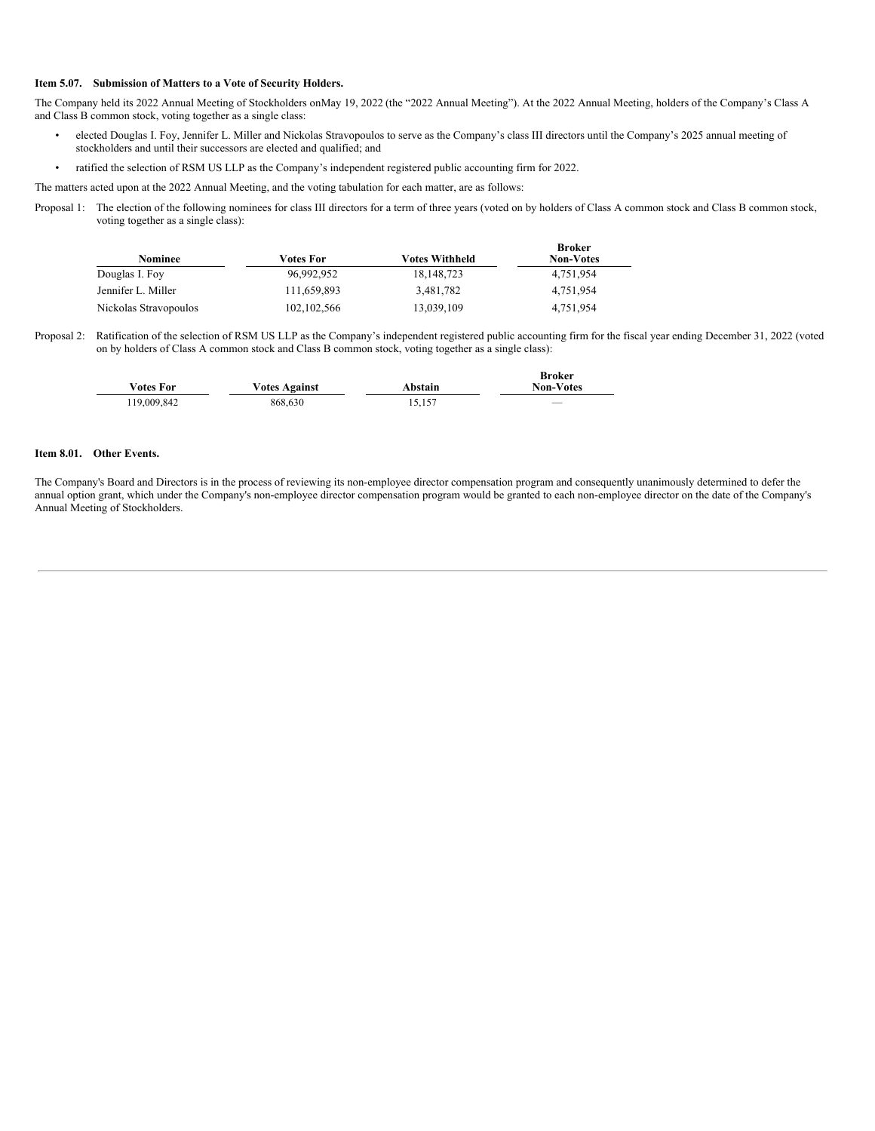#### **Item 5.07. Submission of Matters to a Vote of Security Holders.**

The Company held its 2022 Annual Meeting of Stockholders onMay 19, 2022 (the "2022 Annual Meeting"). At the 2022 Annual Meeting, holders of the Company's Class A and Class B common stock, voting together as a single class:

- elected Douglas I. Foy, Jennifer L. Miller and Nickolas Stravopoulos to serve as the Company's class III directors until the Company's 2025 annual meeting of stockholders and until their successors are elected and qualified; and
- ratified the selection of RSM US LLP as the Company's independent registered public accounting firm for 2022.

The matters acted upon at the 2022 Annual Meeting, and the voting tabulation for each matter, are as follows:

Proposal 1: The election of the following nominees for class III directors for a term of three years (voted on by holders of Class A common stock and Class B common stock, voting together as a single class):

| Nominee               | <b>Votes For</b> | <b>Votes Withheld</b> | <b>Broker</b><br><b>Non-Votes</b> |
|-----------------------|------------------|-----------------------|-----------------------------------|
| Douglas I. Foy        | 96,992,952       | 18, 148, 723          | 4,751,954                         |
| Jennifer L. Miller    | 111.659.893      | 3,481,782             | 4,751,954                         |
| Nickolas Stravopoulos | 102, 102, 566    | 13,039,109            | 4,751,954                         |

Proposal 2: Ratification of the selection of RSM US LLP as the Company's independent registered public accounting firm for the fiscal year ending December 31, 2022 (voted on by holders of Class A common stock and Class B common stock, voting together as a single class):

| <b>Votes For</b> | <b>Votes Against</b> | Abstain | <b>Broker</b><br><b>Non-Votes</b> |
|------------------|----------------------|---------|-----------------------------------|
| 119,009,842      | 868.630              | 15,157  | __                                |

#### **Item 8.01. Other Events.**

The Company's Board and Directors is in the process of reviewing its non-employee director compensation program and consequently unanimously determined to defer the annual option grant, which under the Company's non-employee director compensation program would be granted to each non-employee director on the date of the Company's Annual Meeting of Stockholders.